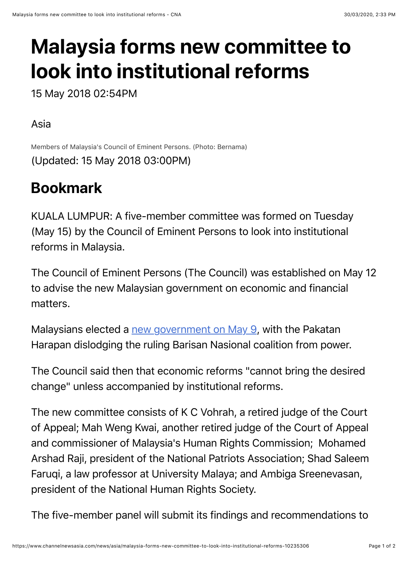# **Malaysia forms new committee to look into institutional reforms**

15 May 2018 02:54PM

#### Asia

Members of Malaysia's Council of Eminent Persons. (Photo: Bernama) (Updated: 15 May 2018 03:00PM)

## **Bookmark**

KUALA LUMPUR: A five-member committee was formed on Tuesday (May 15) by the Council of Eminent Persons to look into institutional reforms in Malaysia.

The Council of Eminent Persons (The Council) was established on May 12 to advise the new Malaysian government on economic and financial matters.

Malaysians elected a [new government on May 9](https://www.channelnewsasia.com/news/asia/malaysia-election-pakatan-harapan-opposition-shock-victory-ge14-10219070), with the Pakatan Harapan dislodging the ruling Barisan Nasional coalition from power.

The Council said then that economic reforms "cannot bring the desired change" unless accompanied by institutional reforms.

The new committee consists of K C Vohrah, a retired judge of the Court of Appeal; Mah Weng Kwai, another retired judge of the Court of Appeal and commissioner of Malaysia's Human Rights Commission; Mohamed Arshad Raji, president of the National Patriots Association; Shad Saleem Faruqi, a law professor at University Malaya; and Ambiga Sreenevasan, president of the National Human Rights Society.

The five-member panel will submit its findings and recommendations to